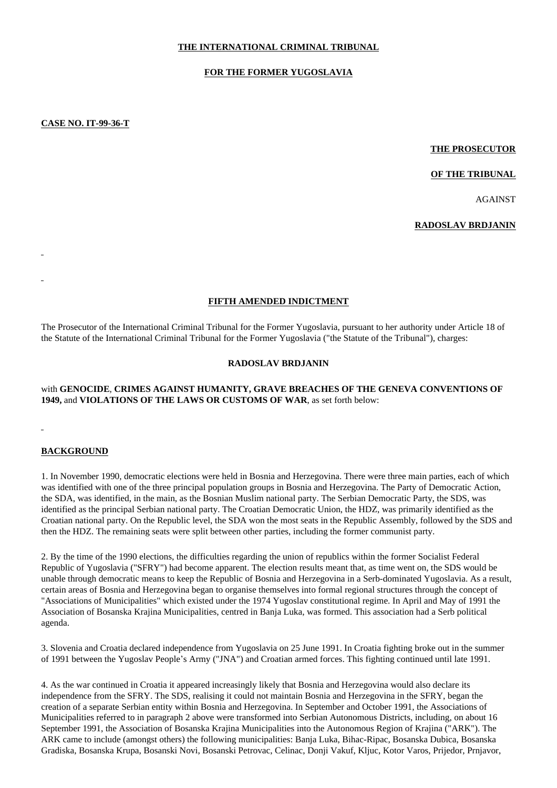# **THE INTERNATIONAL CRIMINAL TRIBUNAL**

#### **FOR THE FORMER YUGOSLAVIA**

**CASE NO. IT-99-36-T**

#### **THE PROSECUTOR**

#### **OF THE TRIBUNAL**

AGAINST

#### **RADOSLAV BRDJANIN**

#### **FIFTH AMENDED INDICTMENT**

The Prosecutor of the International Criminal Tribunal for the Former Yugoslavia, pursuant to her authority under Article 18 of the Statute of the International Criminal Tribunal for the Former Yugoslavia ("the Statute of the Tribunal"), charges:

#### **RADOSLAV BRDJANIN**

#### with **GENOCIDE**, **CRIMES AGAINST HUMANITY, GRAVE BREACHES OF THE GENEVA CONVENTIONS OF 1949,** and **VIOLATIONS OF THE LAWS OR CUSTOMS OF WAR**, as set forth below:

#### **BACKGROUND**

1. In November 1990, democratic elections were held in Bosnia and Herzegovina. There were three main parties, each of which was identified with one of the three principal population groups in Bosnia and Herzegovina. The Party of Democratic Action, the SDA, was identified, in the main, as the Bosnian Muslim national party. The Serbian Democratic Party, the SDS, was identified as the principal Serbian national party. The Croatian Democratic Union, the HDZ, was primarily identified as the Croatian national party. On the Republic level, the SDA won the most seats in the Republic Assembly, followed by the SDS and then the HDZ. The remaining seats were split between other parties, including the former communist party.

2. By the time of the 1990 elections, the difficulties regarding the union of republics within the former Socialist Federal Republic of Yugoslavia ("SFRY") had become apparent. The election results meant that, as time went on, the SDS would be unable through democratic means to keep the Republic of Bosnia and Herzegovina in a Serb-dominated Yugoslavia. As a result, certain areas of Bosnia and Herzegovina began to organise themselves into formal regional structures through the concept of "Associations of Municipalities" which existed under the 1974 Yugoslav constitutional regime. In April and May of 1991 the Association of Bosanska Krajina Municipalities, centred in Banja Luka, was formed. This association had a Serb political agenda.

3. Slovenia and Croatia declared independence from Yugoslavia on 25 June 1991. In Croatia fighting broke out in the summer of 1991 between the Yugoslav People's Army ("JNA") and Croatian armed forces. This fighting continued until late 1991.

4. As the war continued in Croatia it appeared increasingly likely that Bosnia and Herzegovina would also declare its independence from the SFRY. The SDS, realising it could not maintain Bosnia and Herzegovina in the SFRY, began the creation of a separate Serbian entity within Bosnia and Herzegovina. In September and October 1991, the Associations of Municipalities referred to in paragraph 2 above were transformed into Serbian Autonomous Districts, including, on about 16 September 1991, the Association of Bosanska Krajina Municipalities into the Autonomous Region of Krajina ("ARK"). The ARK came to include (amongst others) the following municipalities: Banja Luka, Bihac-Ripac, Bosanska Dubica, Bosanska Gradiska, Bosanska Krupa, Bosanski Novi, Bosanski Petrovac, Celinac, Donji Vakuf, Kljuc, Kotor Varos, Prijedor, Prnjavor,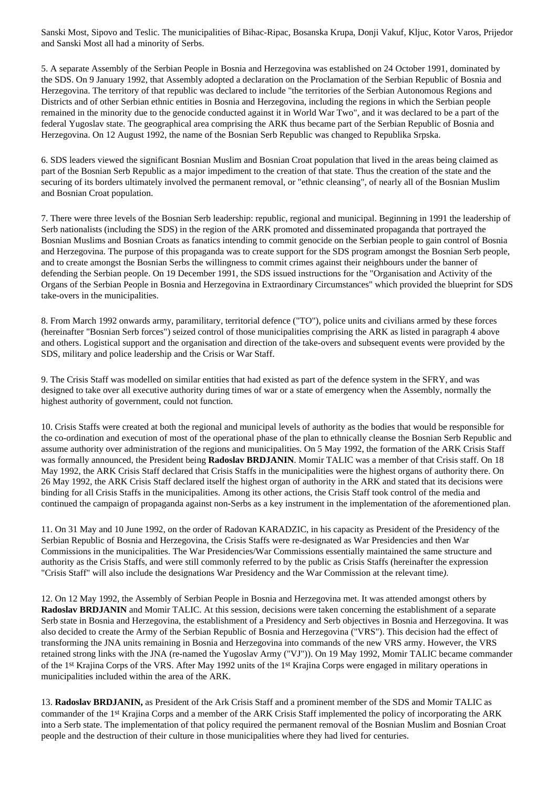Sanski Most, Sipovo and Teslic. The municipalities of Bihac-Ripac, Bosanska Krupa, Donji Vakuf, Kljuc, Kotor Varos, Prijedor and Sanski Most all had a minority of Serbs.

5. A separate Assembly of the Serbian People in Bosnia and Herzegovina was established on 24 October 1991, dominated by the SDS. On 9 January 1992, that Assembly adopted a declaration on the Proclamation of the Serbian Republic of Bosnia and Herzegovina. The territory of that republic was declared to include "the territories of the Serbian Autonomous Regions and Districts and of other Serbian ethnic entities in Bosnia and Herzegovina, including the regions in which the Serbian people remained in the minority due to the genocide conducted against it in World War Two", and it was declared to be a part of the federal Yugoslav state. The geographical area comprising the ARK thus became part of the Serbian Republic of Bosnia and Herzegovina. On 12 August 1992, the name of the Bosnian Serb Republic was changed to Republika Srpska.

6. SDS leaders viewed the significant Bosnian Muslim and Bosnian Croat population that lived in the areas being claimed as part of the Bosnian Serb Republic as a major impediment to the creation of that state. Thus the creation of the state and the securing of its borders ultimately involved the permanent removal, or "ethnic cleansing", of nearly all of the Bosnian Muslim and Bosnian Croat population.

7. There were three levels of the Bosnian Serb leadership: republic, regional and municipal. Beginning in 1991 the leadership of Serb nationalists (including the SDS) in the region of the ARK promoted and disseminated propaganda that portrayed the Bosnian Muslims and Bosnian Croats as fanatics intending to commit genocide on the Serbian people to gain control of Bosnia and Herzegovina. The purpose of this propaganda was to create support for the SDS program amongst the Bosnian Serb people, and to create amongst the Bosnian Serbs the willingness to commit crimes against their neighbours under the banner of defending the Serbian people. On 19 December 1991, the SDS issued instructions for the "Organisation and Activity of the Organs of the Serbian People in Bosnia and Herzegovina in Extraordinary Circumstances" which provided the blueprint for SDS take-overs in the municipalities.

8. From March 1992 onwards army, paramilitary, territorial defence ("TO"), police units and civilians armed by these forces (hereinafter "Bosnian Serb forces") seized control of those municipalities comprising the ARK as listed in paragraph 4 above and others. Logistical support and the organisation and direction of the take-overs and subsequent events were provided by the SDS, military and police leadership and the Crisis or War Staff.

9. The Crisis Staff was modelled on similar entities that had existed as part of the defence system in the SFRY, and was designed to take over all executive authority during times of war or a state of emergency when the Assembly, normally the highest authority of government, could not function.

10. Crisis Staffs were created at both the regional and municipal levels of authority as the bodies that would be responsible for the co-ordination and execution of most of the operational phase of the plan to ethnically cleanse the Bosnian Serb Republic and assume authority over administration of the regions and municipalities. On 5 May 1992, the formation of the ARK Crisis Staff was formally announced, the President being **Radoslav BRDJANIN**. Momir TALIC was a member of that Crisis staff. On 18 May 1992, the ARK Crisis Staff declared that Crisis Staffs in the municipalities were the highest organs of authority there. On 26 May 1992, the ARK Crisis Staff declared itself the highest organ of authority in the ARK and stated that its decisions were binding for all Crisis Staffs in the municipalities. Among its other actions, the Crisis Staff took control of the media and continued the campaign of propaganda against non-Serbs as a key instrument in the implementation of the aforementioned plan.

11. On 31 May and 10 June 1992, on the order of Radovan KARADZIC, in his capacity as President of the Presidency of the Serbian Republic of Bosnia and Herzegovina, the Crisis Staffs were re-designated as War Presidencies and then War Commissions in the municipalities. The War Presidencies/War Commissions essentially maintained the same structure and authority as the Crisis Staffs, and were still commonly referred to by the public as Crisis Staffs (hereinafter the expression "Crisis Staff" will also include the designations War Presidency and the War Commission at the relevant time*).*

12. On 12 May 1992, the Assembly of Serbian People in Bosnia and Herzegovina met. It was attended amongst others by **Radoslav BRDJANIN** and Momir TALIC. At this session, decisions were taken concerning the establishment of a separate Serb state in Bosnia and Herzegovina, the establishment of a Presidency and Serb objectives in Bosnia and Herzegovina. It was also decided to create the Army of the Serbian Republic of Bosnia and Herzegovina ("VRS"). This decision had the effect of transforming the JNA units remaining in Bosnia and Herzegovina into commands of the new VRS army. However, the VRS retained strong links with the JNA (re-named the Yugoslav Army ("VJ")). On 19 May 1992, Momir TALIC became commander of the 1st Krajina Corps of the VRS. After May 1992 units of the 1st Krajina Corps were engaged in military operations in municipalities included within the area of the ARK.

13. **Radoslav BRDJANIN,** as President of the Ark Crisis Staff and a prominent member of the SDS and Momir TALIC as commander of the 1st Krajina Corps and a member of the ARK Crisis Staff implemented the policy of incorporating the ARK into a Serb state. The implementation of that policy required the permanent removal of the Bosnian Muslim and Bosnian Croat people and the destruction of their culture in those municipalities where they had lived for centuries.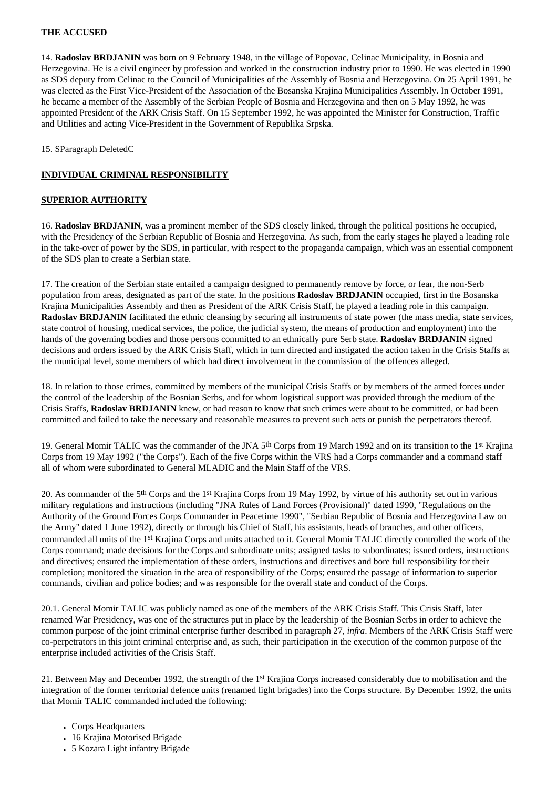# **THE ACCUSED**

14. **Radoslav BRDJANIN** was born on 9 February 1948, in the village of Popovac, Celinac Municipality, in Bosnia and Herzegovina. He is a civil engineer by profession and worked in the construction industry prior to 1990. He was elected in 1990 as SDS deputy from Celinac to the Council of Municipalities of the Assembly of Bosnia and Herzegovina. On 25 April 1991, he was elected as the First Vice-President of the Association of the Bosanska Krajina Municipalities Assembly. In October 1991, he became a member of the Assembly of the Serbian People of Bosnia and Herzegovina and then on 5 May 1992, he was appointed President of the ARK Crisis Staff. On 15 September 1992, he was appointed the Minister for Construction, Traffic and Utilities and acting Vice-President in the Government of Republika Srpska*.*

15. SParagraph DeletedC

# **INDIVIDUAL CRIMINAL RESPONSIBILITY**

# **SUPERIOR AUTHORITY**

16. **Radoslav BRDJANIN**, was a prominent member of the SDS closely linked, through the political positions he occupied, with the Presidency of the Serbian Republic of Bosnia and Herzegovina. As such, from the early stages he played a leading role in the take-over of power by the SDS, in particular, with respect to the propaganda campaign, which was an essential component of the SDS plan to create a Serbian state.

17. The creation of the Serbian state entailed a campaign designed to permanently remove by force, or fear, the non-Serb population from areas, designated as part of the state. In the positions **Radoslav BRDJANIN** occupied, first in the Bosanska Krajina Municipalities Assembly and then as President of the ARK Crisis Staff, he played a leading role in this campaign. **Radoslav BRDJANIN** facilitated the ethnic cleansing by securing all instruments of state power (the mass media, state services, state control of housing, medical services, the police, the judicial system, the means of production and employment) into the hands of the governing bodies and those persons committed to an ethnically pure Serb state. **Radoslav BRDJANIN** signed decisions and orders issued by the ARK Crisis Staff, which in turn directed and instigated the action taken in the Crisis Staffs at the municipal level, some members of which had direct involvement in the commission of the offences alleged.

18. In relation to those crimes, committed by members of the municipal Crisis Staffs or by members of the armed forces under the control of the leadership of the Bosnian Serbs, and for whom logistical support was provided through the medium of the Crisis Staffs, **Radoslav BRDJANIN** knew, or had reason to know that such crimes were about to be committed, or had been committed and failed to take the necessary and reasonable measures to prevent such acts or punish the perpetrators thereof.

19. General Momir TALIC was the commander of the JNA 5<sup>th</sup> Corps from 19 March 1992 and on its transition to the 1<sup>st</sup> Krajina Corps from 19 May 1992 ("the Corps"). Each of the five Corps within the VRS had a Corps commander and a command staff all of whom were subordinated to General MLADIC and the Main Staff of the VRS.

20. As commander of the 5th Corps and the 1st Krajina Corps from 19 May 1992, by virtue of his authority set out in various military regulations and instructions (including "JNA Rules of Land Forces (Provisional)" dated 1990, "Regulations on the Authority of the Ground Forces Corps Commander in Peacetime 1990", "Serbian Republic of Bosnia and Herzegovina Law on the Army" dated 1 June 1992), directly or through his Chief of Staff, his assistants, heads of branches, and other officers, commanded all units of the 1st Krajina Corps and units attached to it. General Momir TALIC directly controlled the work of the Corps command; made decisions for the Corps and subordinate units; assigned tasks to subordinates; issued orders, instructions and directives; ensured the implementation of these orders, instructions and directives and bore full responsibility for their completion; monitored the situation in the area of responsibility of the Corps; ensured the passage of information to superior commands, civilian and police bodies; and was responsible for the overall state and conduct of the Corps.

20.1. General Momir TALIC was publicly named as one of the members of the ARK Crisis Staff. This Crisis Staff, later renamed War Presidency, was one of the structures put in place by the leadership of the Bosnian Serbs in order to achieve the common purpose of the joint criminal enterprise further described in paragraph 27, *infra*. Members of the ARK Crisis Staff were co-perpetrators in this joint criminal enterprise and, as such, their participation in the execution of the common purpose of the enterprise included activities of the Crisis Staff.

21. Between May and December 1992, the strength of the 1st Krajina Corps increased considerably due to mobilisation and the integration of the former territorial defence units (renamed light brigades) into the Corps structure. By December 1992, the units that Momir TALIC commanded included the following:

- Corps Headquarters
- 16 Krajina Motorised Brigade
- 5 Kozara Light infantry Brigade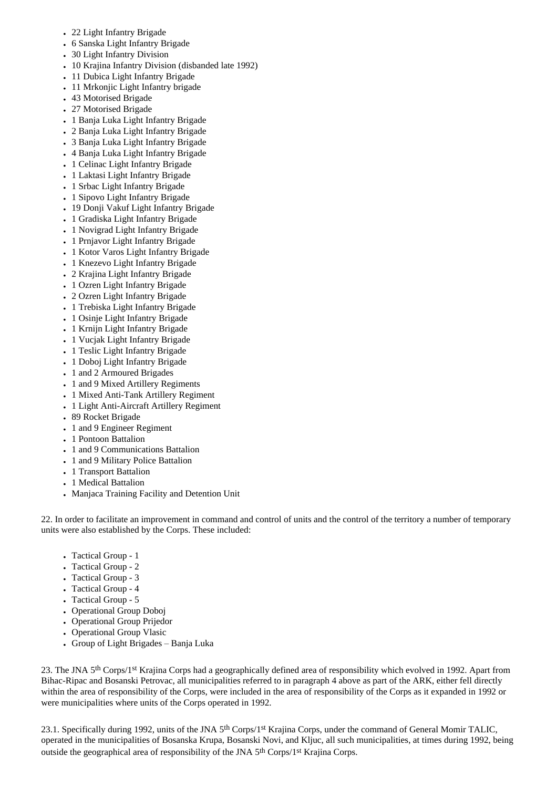- 22 Light Infantry Brigade
- 6 Sanska Light Infantry Brigade
- 30 Light Infantry Division
- 10 Krajina Infantry Division (disbanded late 1992)
- 11 Dubica Light Infantry Brigade
- 11 Mrkonjic Light Infantry brigade
- 43 Motorised Brigade
- 27 Motorised Brigade
- 1 Banja Luka Light Infantry Brigade
- 2 Banja Luka Light Infantry Brigade
- 3 Banja Luka Light Infantry Brigade
- 4 Banja Luka Light Infantry Brigade
- 1 Celinac Light Infantry Brigade
- 1 Laktasi Light Infantry Brigade
- 1 Srbac Light Infantry Brigade
- 1 Sipovo Light Infantry Brigade
- 19 Donji Vakuf Light Infantry Brigade
- 1 Gradiska Light Infantry Brigade
- 1 Novigrad Light Infantry Brigade
- 1 Prnjavor Light Infantry Brigade
- 1 Kotor Varos Light Infantry Brigade
- 1 Knezevo Light Infantry Brigade
- 2 Krajina Light Infantry Brigade
- 1 Ozren Light Infantry Brigade
- 2 Ozren Light Infantry Brigade
- 1 Trebiska Light Infantry Brigade
- 1 Osinie Light Infantry Brigade
- 1 Krnijn Light Infantry Brigade
- 1 Vucjak Light Infantry Brigade
- 1 Teslic Light Infantry Brigade
- 1 Doboj Light Infantry Brigade
- 1 and 2 Armoured Brigades
- 1 and 9 Mixed Artillery Regiments
- 1 Mixed Anti-Tank Artillery Regiment
- 1 Light Anti-Aircraft Artillery Regiment
- 89 Rocket Brigade
- 1 and 9 Engineer Regiment
- 1 Pontoon Battalion
- 1 and 9 Communications Battalion
- 1 and 9 Military Police Battalion
- 1 Transport Battalion
- 1 Medical Battalion
- Manjaca Training Facility and Detention Unit

22. In order to facilitate an improvement in command and control of units and the control of the territory a number of temporary units were also established by the Corps. These included:

- Tactical Group 1
- Tactical Group 2
- Tactical Group 3
- Tactical Group 4
- Tactical Group 5
- Operational Group Doboj
- Operational Group Prijedor
- Operational Group Vlasic
- Group of Light Brigades Banja Luka

23. The JNA 5th Corps/1st Krajina Corps had a geographically defined area of responsibility which evolved in 1992. Apart from Bihac-Ripac and Bosanski Petrovac, all municipalities referred to in paragraph 4 above as part of the ARK, either fell directly within the area of responsibility of the Corps, were included in the area of responsibility of the Corps as it expanded in 1992 or were municipalities where units of the Corps operated in 1992.

23.1. Specifically during 1992, units of the JNA 5<sup>th</sup> Corps/1<sup>st</sup> Krajina Corps, under the command of General Momir TALIC, operated in the municipalities of Bosanska Krupa, Bosanski Novi, and Kljuc, all such municipalities, at times during 1992, being outside the geographical area of responsibility of the JNA 5th Corps/1st Krajina Corps.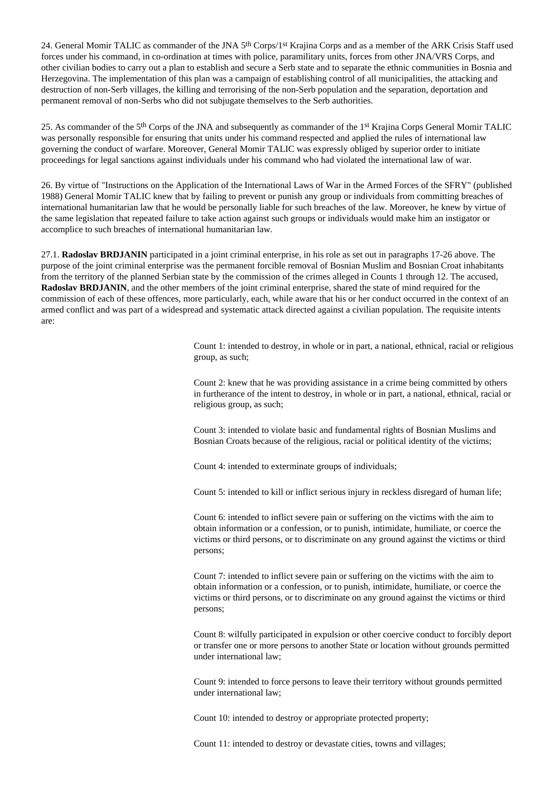24. General Momir TALIC as commander of the JNA 5th Corps/1st Krajina Corps and as a member of the ARK Crisis Staff used forces under his command, in co-ordination at times with police, paramilitary units, forces from other JNA/VRS Corps, and other civilian bodies to carry out a plan to establish and secure a Serb state and to separate the ethnic communities in Bosnia and Herzegovina. The implementation of this plan was a campaign of establishing control of all municipalities, the attacking and destruction of non-Serb villages, the killing and terrorising of the non-Serb population and the separation, deportation and permanent removal of non-Serbs who did not subjugate themselves to the Serb authorities.

25. As commander of the 5th Corps of the JNA and subsequently as commander of the 1st Krajina Corps General Momir TALIC was personally responsible for ensuring that units under his command respected and applied the rules of international law governing the conduct of warfare. Moreover, General Momir TALIC was expressly obliged by superior order to initiate proceedings for legal sanctions against individuals under his command who had violated the international law of war.

26. By virtue of "Instructions on the Application of the International Laws of War in the Armed Forces of the SFRY" (published 1988) General Momir TALIC knew that by failing to prevent or punish any group or individuals from committing breaches of international humanitarian law that he would be personally liable for such breaches of the law. Moreover, he knew by virtue of the same legislation that repeated failure to take action against such groups or individuals would make him an instigator or accomplice to such breaches of international humanitarian law.

27.1. **Radoslav BRDJANIN** participated in a joint criminal enterprise, in his role as set out in paragraphs 17-26 above. The purpose of the joint criminal enterprise was the permanent forcible removal of Bosnian Muslim and Bosnian Croat inhabitants from the territory of the planned Serbian state by the commission of the crimes alleged in Counts 1 through 12. The accused, **Radoslav BRDJANIN**, and the other members of the joint criminal enterprise, shared the state of mind required for the commission of each of these offences, more particularly, each, while aware that his or her conduct occurred in the context of an armed conflict and was part of a widespread and systematic attack directed against a civilian population. The requisite intents are:

> Count 1: intended to destroy, in whole or in part, a national, ethnical, racial or religious group, as such;

> Count 2: knew that he was providing assistance in a crime being committed by others in furtherance of the intent to destroy, in whole or in part, a national, ethnical, racial or religious group, as such;

Count 3: intended to violate basic and fundamental rights of Bosnian Muslims and Bosnian Croats because of the religious, racial or political identity of the victims;

Count 4: intended to exterminate groups of individuals;

Count 5: intended to kill or inflict serious injury in reckless disregard of human life;

Count 6: intended to inflict severe pain or suffering on the victims with the aim to obtain information or a confession, or to punish, intimidate, humiliate, or coerce the victims or third persons, or to discriminate on any ground against the victims or third persons;

Count 7: intended to inflict severe pain or suffering on the victims with the aim to obtain information or a confession, or to punish, intimidate, humiliate, or coerce the victims or third persons, or to discriminate on any ground against the victims or third persons;

Count 8: wilfully participated in expulsion or other coercive conduct to forcibly deport or transfer one or more persons to another State or location without grounds permitted under international law;

Count 9: intended to force persons to leave their territory without grounds permitted under international law;

Count 10: intended to destroy or appropriate protected property;

Count 11: intended to destroy or devastate cities, towns and villages;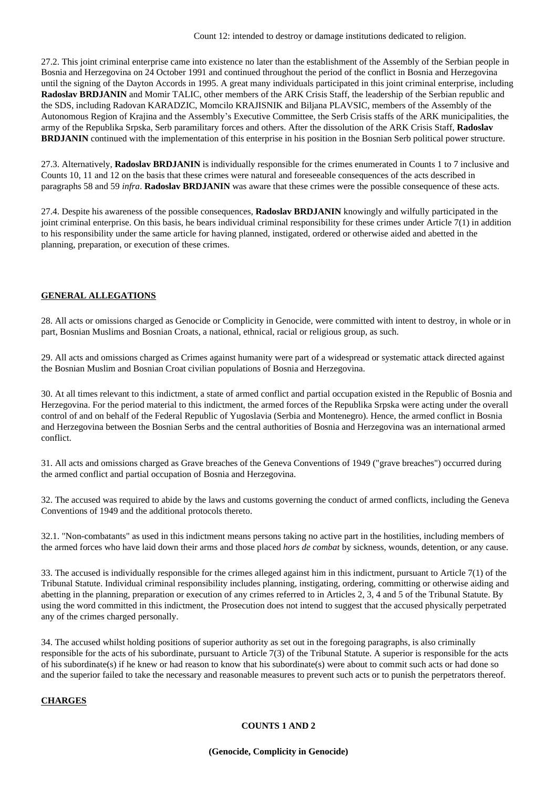27.2. This joint criminal enterprise came into existence no later than the establishment of the Assembly of the Serbian people in Bosnia and Herzegovina on 24 October 1991 and continued throughout the period of the conflict in Bosnia and Herzegovina until the signing of the Dayton Accords in 1995. A great many individuals participated in this joint criminal enterprise, including **Radoslav BRDJANIN** and Momir TALIC, other members of the ARK Crisis Staff, the leadership of the Serbian republic and the SDS, including Radovan KARADZIC, Momcilo KRAJISNIK and Biljana PLAVSIC, members of the Assembly of the Autonomous Region of Krajina and the Assembly's Executive Committee, the Serb Crisis staffs of the ARK municipalities, the army of the Republika Srpska, Serb paramilitary forces and others. After the dissolution of the ARK Crisis Staff, **Radoslav BRDJANIN** continued with the implementation of this enterprise in his position in the Bosnian Serb political power structure.

27.3. Alternatively, **Radoslav BRDJANIN** is individually responsible for the crimes enumerated in Counts 1 to 7 inclusive and Counts 10, 11 and 12 on the basis that these crimes were natural and foreseeable consequences of the acts described in paragraphs 58 and 59 *infra*. **Radoslav BRDJANIN** was aware that these crimes were the possible consequence of these acts.

27.4. Despite his awareness of the possible consequences, **Radoslav BRDJANIN** knowingly and wilfully participated in the joint criminal enterprise. On this basis, he bears individual criminal responsibility for these crimes under Article 7(1) in addition to his responsibility under the same article for having planned, instigated, ordered or otherwise aided and abetted in the planning, preparation, or execution of these crimes.

### **GENERAL ALLEGATIONS**

28. All acts or omissions charged as Genocide or Complicity in Genocide, were committed with intent to destroy, in whole or in part, Bosnian Muslims and Bosnian Croats, a national, ethnical, racial or religious group, as such.

29. All acts and omissions charged as Crimes against humanity were part of a widespread or systematic attack directed against the Bosnian Muslim and Bosnian Croat civilian populations of Bosnia and Herzegovina.

30. At all times relevant to this indictment, a state of armed conflict and partial occupation existed in the Republic of Bosnia and Herzegovina. For the period material to this indictment, the armed forces of the Republika Srpska were acting under the overall control of and on behalf of the Federal Republic of Yugoslavia (Serbia and Montenegro). Hence, the armed conflict in Bosnia and Herzegovina between the Bosnian Serbs and the central authorities of Bosnia and Herzegovina was an international armed conflict.

31. All acts and omissions charged as Grave breaches of the Geneva Conventions of 1949 ("grave breaches") occurred during the armed conflict and partial occupation of Bosnia and Herzegovina.

32. The accused was required to abide by the laws and customs governing the conduct of armed conflicts, including the Geneva Conventions of 1949 and the additional protocols thereto.

32.1. "Non-combatants" as used in this indictment means persons taking no active part in the hostilities, including members of the armed forces who have laid down their arms and those placed *hors de combat* by sickness, wounds, detention, or any cause.

33. The accused is individually responsible for the crimes alleged against him in this indictment, pursuant to Article 7(1) of the Tribunal Statute. Individual criminal responsibility includes planning, instigating, ordering, committing or otherwise aiding and abetting in the planning, preparation or execution of any crimes referred to in Articles 2, 3, 4 and 5 of the Tribunal Statute. By using the word committed in this indictment, the Prosecution does not intend to suggest that the accused physically perpetrated any of the crimes charged personally.

34. The accused whilst holding positions of superior authority as set out in the foregoing paragraphs, is also criminally responsible for the acts of his subordinate, pursuant to Article 7(3) of the Tribunal Statute. A superior is responsible for the acts of his subordinate(s) if he knew or had reason to know that his subordinate(s) were about to commit such acts or had done so and the superior failed to take the necessary and reasonable measures to prevent such acts or to punish the perpetrators thereof.

### **CHARGES**

### **COUNTS 1 AND 2**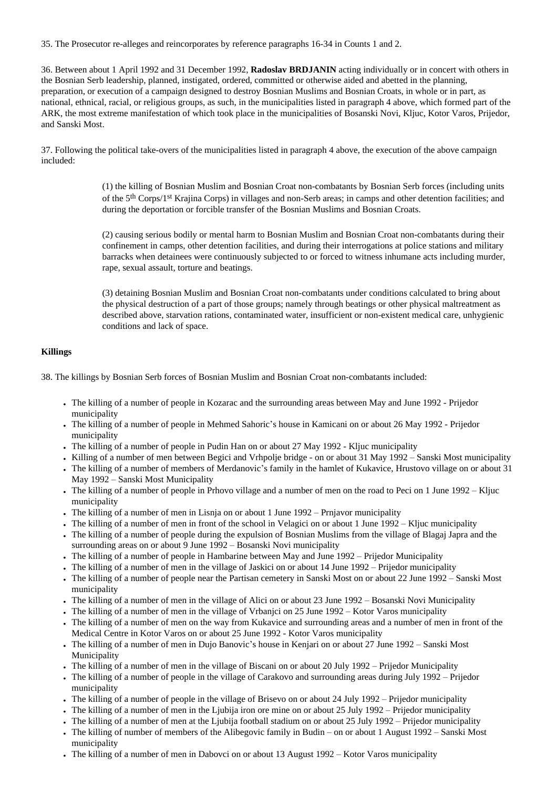35. The Prosecutor re-alleges and reincorporates by reference paragraphs 16-34 in Counts 1 and 2.

36. Between about 1 April 1992 and 31 December 1992, **Radoslav BRDJANIN** acting individually or in concert with others in the Bosnian Serb leadership, planned, instigated, ordered, committed or otherwise aided and abetted in the planning, preparation, or execution of a campaign designed to destroy Bosnian Muslims and Bosnian Croats, in whole or in part, as national, ethnical, racial, or religious groups, as such, in the municipalities listed in paragraph 4 above, which formed part of the ARK, the most extreme manifestation of which took place in the municipalities of Bosanski Novi, Kljuc, Kotor Varos, Prijedor, and Sanski Most.

37. Following the political take-overs of the municipalities listed in paragraph 4 above, the execution of the above campaign included:

> (1) the killing of Bosnian Muslim and Bosnian Croat non-combatants by Bosnian Serb forces (including units of the 5th Corps/1st Krajina Corps) in villages and non-Serb areas; in camps and other detention facilities; and during the deportation or forcible transfer of the Bosnian Muslims and Bosnian Croats.

> (2) causing serious bodily or mental harm to Bosnian Muslim and Bosnian Croat non-combatants during their confinement in camps, other detention facilities, and during their interrogations at police stations and military barracks when detainees were continuously subjected to or forced to witness inhumane acts including murder, rape, sexual assault, torture and beatings.

> (3) detaining Bosnian Muslim and Bosnian Croat non-combatants under conditions calculated to bring about the physical destruction of a part of those groups; namely through beatings or other physical maltreatment as described above, starvation rations, contaminated water, insufficient or non-existent medical care, unhygienic conditions and lack of space.

# **Killings**

38. The killings by Bosnian Serb forces of Bosnian Muslim and Bosnian Croat non-combatants included:

- The killing of a number of people in Kozarac and the surrounding areas between May and June 1992 Prijedor municipality
- The killing of a number of people in Mehmed Sahoric's house in Kamicani on or about 26 May 1992 Prijedor municipality
- The killing of a number of people in Pudin Han on or about 27 May 1992 Kliuc municipality
- Killing of a number of men between Begici and Vrhpolje bridge on or about 31 May 1992 Sanski Most municipality
- The killing of a number of members of Merdanovic's family in the hamlet of Kukavice, Hrustovo village on or about 31 May 1992 – Sanski Most Municipality
- The killing of a number of people in Prhovo village and a number of men on the road to Peci on 1 June 1992 Kljuc municipality
- $\bullet$  The killing of a number of men in Lisnja on or about 1 June 1992 Prnjavor municipality
- The killing of a number of men in front of the school in Velagici on or about 1 June 1992 Kljuc municipality
- The killing of a number of people during the expulsion of Bosnian Muslims from the village of Blagaj Japra and the surrounding areas on or about 9 June 1992 – Bosanski Novi municipality
- The killing of a number of people in Hambarine between May and June 1992 Prijedor Municipality
- The killing of a number of men in the village of Jaskici on or about 14 June 1992 Prijedor municipality
- The killing of a number of people near the Partisan cemetery in Sanski Most on or about 22 June 1992 Sanski Most municipality
- The killing of a number of men in the village of Alici on or about 23 June 1992 Bosanski Novi Municipality
- The killing of a number of men in the village of Vrbanjci on 25 June 1992 Kotor Varos municipality
- The killing of a number of men on the way from Kukavice and surrounding areas and a number of men in front of the Medical Centre in Kotor Varos on or about 25 June 1992 - Kotor Varos municipality
- The killing of a number of men in Dujo Banovic's house in Kenjari on or about 27 June 1992 Sanski Most Municipality
- The killing of a number of men in the village of Biscani on or about 20 July 1992 Prijedor Municipality
- The killing of a number of people in the village of Carakovo and surrounding areas during July 1992 Prijedor municipality
- The killing of a number of people in the village of Brisevo on or about 24 July 1992 Prijedor municipality
- The killing of a number of men in the Ljubija iron ore mine on or about 25 July 1992 Prijedor municipality
- The killing of a number of men at the Ljubija football stadium on or about 25 July 1992 Prijedor municipality
- The killing of number of members of the Alibegovic family in Budin on or about 1 August 1992 Sanski Most municipality
- The killing of a number of men in Dabovci on or about 13 August 1992 Kotor Varos municipality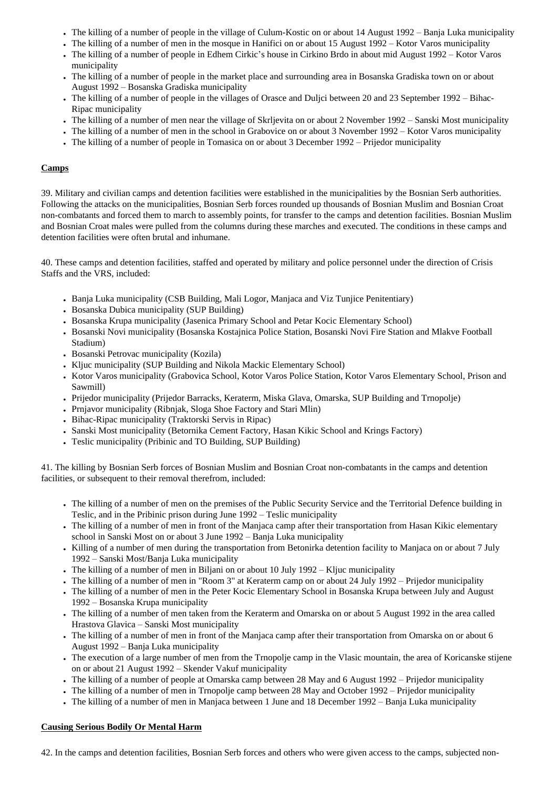- The killing of a number of people in the village of Culum-Kostic on or about 14 August 1992 Banja Luka municipality
- The killing of a number of men in the mosque in Hanifici on or about 15 August 1992 Kotor Varos municipality
- The killing of a number of people in Edhem Cirkic's house in Cirkino Brdo in about mid August 1992 Kotor Varos municipality
- The killing of a number of people in the market place and surrounding area in Bosanska Gradiska town on or about August 1992 – Bosanska Gradiska municipality
- The killing of a number of people in the villages of Orasce and Duljci between 20 and 23 September 1992 Bihac-Ripac municipality
- The killing of a number of men near the village of Skrljevita on or about 2 November 1992 Sanski Most municipality
- The killing of a number of men in the school in Grabovice on or about 3 November 1992 Kotor Varos municipality
- The killing of a number of people in Tomasica on or about 3 December 1992 Prijedor municipality

# **Camps**

39. Military and civilian camps and detention facilities were established in the municipalities by the Bosnian Serb authorities. Following the attacks on the municipalities, Bosnian Serb forces rounded up thousands of Bosnian Muslim and Bosnian Croat non-combatants and forced them to march to assembly points, for transfer to the camps and detention facilities. Bosnian Muslim and Bosnian Croat males were pulled from the columns during these marches and executed. The conditions in these camps and detention facilities were often brutal and inhumane.

40. These camps and detention facilities, staffed and operated by military and police personnel under the direction of Crisis Staffs and the VRS, included:

- Banja Luka municipality (CSB Building, Mali Logor, Manjaca and Viz Tunjice Penitentiary)
- Bosanska Dubica municipality (SUP Building)
- Bosanska Krupa municipality (Jasenica Primary School and Petar Kocic Elementary School)
- Bosanski Novi municipality (Bosanska Kostajnica Police Station, Bosanski Novi Fire Station and Mlakve Football Stadium)
- Bosanski Petrovac municipality (Kozila)
- Kliuc municipality (SUP Building and Nikola Mackic Elementary School)
- Kotor Varos municipality (Grabovica School, Kotor Varos Police Station, Kotor Varos Elementary School, Prison and Sawmill)
- Prijedor municipality (Prijedor Barracks, Keraterm, Miska Glava, Omarska, SUP Building and Trnopolje)
- Prnjavor municipality (Ribnjak, Sloga Shoe Factory and Stari Mlin)
- Bihac-Ripac municipality (Traktorski Servis in Ripac)
- Sanski Most municipality (Betornika Cement Factory, Hasan Kikic School and Krings Factory)
- Teslic municipality (Pribinic and TO Building, SUP Building)

41. The killing by Bosnian Serb forces of Bosnian Muslim and Bosnian Croat non-combatants in the camps and detention facilities, or subsequent to their removal therefrom, included:

- The killing of a number of men on the premises of the Public Security Service and the Territorial Defence building in Teslic, and in the Pribinic prison during June 1992 – Teslic municipality
- The killing of a number of men in front of the Manjaca camp after their transportation from Hasan Kikic elementary school in Sanski Most on or about 3 June 1992 – Banja Luka municipality
- Killing of a number of men during the transportation from Betonirka detention facility to Manjaca on or about 7 July 1992 – Sanski Most/Banja Luka municipality
- $\bullet$  The killing of a number of men in Biljani on or about 10 July 1992 Kljuc municipality
- The killing of a number of men in "Room 3" at Keraterm camp on or about 24 July 1992 Prijedor municipality
- The killing of a number of men in the Peter Kocic Elementary School in Bosanska Krupa between July and August 1992 – Bosanska Krupa municipality
- The killing of a number of men taken from the Keraterm and Omarska on or about 5 August 1992 in the area called Hrastova Glavica – Sanski Most municipality
- The killing of a number of men in front of the Manjaca camp after their transportation from Omarska on or about 6 August 1992 – Banja Luka municipality
- The execution of a large number of men from the Trnopolje camp in the Vlasic mountain, the area of Koricanske stijene on or about 21 August 1992 – Skender Vakuf municipality
- The killing of a number of people at Omarska camp between 28 May and 6 August 1992 Prijedor municipality
- The killing of a number of men in Trnopolje camp between 28 May and October 1992 Prijedor municipality
- The killing of a number of men in Manjaca between 1 June and 18 December 1992 Banja Luka municipality

### **Causing Serious Bodily Or Mental Harm**

42. In the camps and detention facilities, Bosnian Serb forces and others who were given access to the camps, subjected non-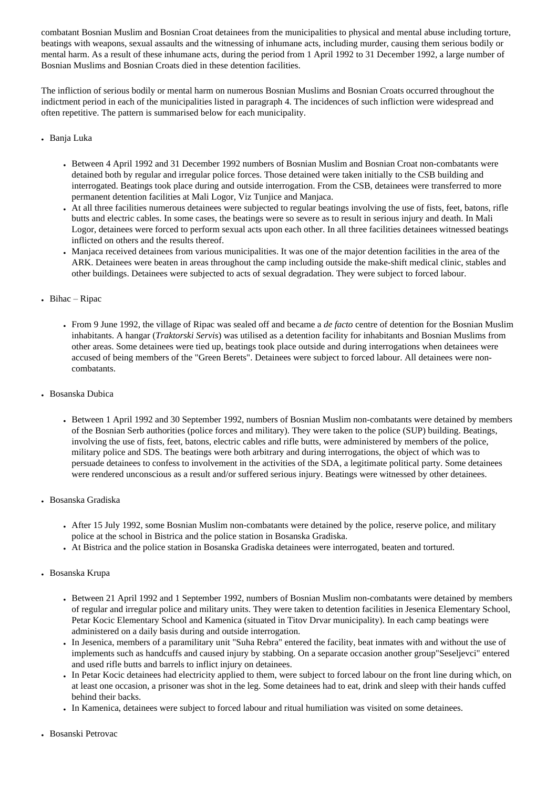combatant Bosnian Muslim and Bosnian Croat detainees from the municipalities to physical and mental abuse including torture, beatings with weapons, sexual assaults and the witnessing of inhumane acts, including murder, causing them serious bodily or mental harm. As a result of these inhumane acts, during the period from 1 April 1992 to 31 December 1992, a large number of Bosnian Muslims and Bosnian Croats died in these detention facilities.

The infliction of serious bodily or mental harm on numerous Bosnian Muslims and Bosnian Croats occurred throughout the indictment period in each of the municipalities listed in paragraph 4. The incidences of such infliction were widespread and often repetitive. The pattern is summarised below for each municipality.

# • Banja Luka

- Between 4 April 1992 and 31 December 1992 numbers of Bosnian Muslim and Bosnian Croat non-combatants were detained both by regular and irregular police forces. Those detained were taken initially to the CSB building and interrogated. Beatings took place during and outside interrogation. From the CSB, detainees were transferred to more permanent detention facilities at Mali Logor, Viz Tunjice and Manjaca.
- At all three facilities numerous detainees were subjected to regular beatings involving the use of fists, feet, batons, rifle butts and electric cables. In some cases, the beatings were so severe as to result in serious injury and death. In Mali Logor, detainees were forced to perform sexual acts upon each other. In all three facilities detainees witnessed beatings inflicted on others and the results thereof.
- Manjaca received detainees from various municipalities. It was one of the major detention facilities in the area of the ARK. Detainees were beaten in areas throughout the camp including outside the make-shift medical clinic, stables and other buildings. Detainees were subjected to acts of sexual degradation. They were subject to forced labour.

# $\bullet$  Bihac – Ripac

- From 9 June 1992, the village of Ripac was sealed off and became a *de facto* centre of detention for the Bosnian Muslim inhabitants. A hangar (*Traktorski Servis*) was utilised as a detention facility for inhabitants and Bosnian Muslims from other areas. Some detainees were tied up, beatings took place outside and during interrogations when detainees were accused of being members of the "Green Berets". Detainees were subject to forced labour. All detainees were noncombatants.
- Bosanska Dubica
	- Between 1 April 1992 and 30 September 1992, numbers of Bosnian Muslim non-combatants were detained by members of the Bosnian Serb authorities (police forces and military). They were taken to the police (SUP) building. Beatings, involving the use of fists, feet, batons, electric cables and rifle butts, were administered by members of the police, military police and SDS. The beatings were both arbitrary and during interrogations, the object of which was to persuade detainees to confess to involvement in the activities of the SDA, a legitimate political party. Some detainees were rendered unconscious as a result and/or suffered serious injury. Beatings were witnessed by other detainees.
- Bosanska Gradiska
	- After 15 July 1992, some Bosnian Muslim non-combatants were detained by the police, reserve police, and military police at the school in Bistrica and the police station in Bosanska Gradiska.
	- At Bistrica and the police station in Bosanska Gradiska detainees were interrogated, beaten and tortured.
- Bosanska Krupa
	- Between 21 April 1992 and 1 September 1992, numbers of Bosnian Muslim non-combatants were detained by members of regular and irregular police and military units. They were taken to detention facilities in Jesenica Elementary School, Petar Kocic Elementary School and Kamenica (situated in Titov Drvar municipality). In each camp beatings were administered on a daily basis during and outside interrogation.
	- In Jesenica, members of a paramilitary unit "Suha Rebra" entered the facility, beat inmates with and without the use of implements such as handcuffs and caused injury by stabbing. On a separate occasion another group"Seseljevci" entered and used rifle butts and barrels to inflict injury on detainees.
	- In Petar Kocic detainees had electricity applied to them, were subject to forced labour on the front line during which, on at least one occasion, a prisoner was shot in the leg. Some detainees had to eat, drink and sleep with their hands cuffed behind their backs.
	- In Kamenica, detainees were subject to forced labour and ritual humiliation was visited on some detainees.
- Bosanski Petrovac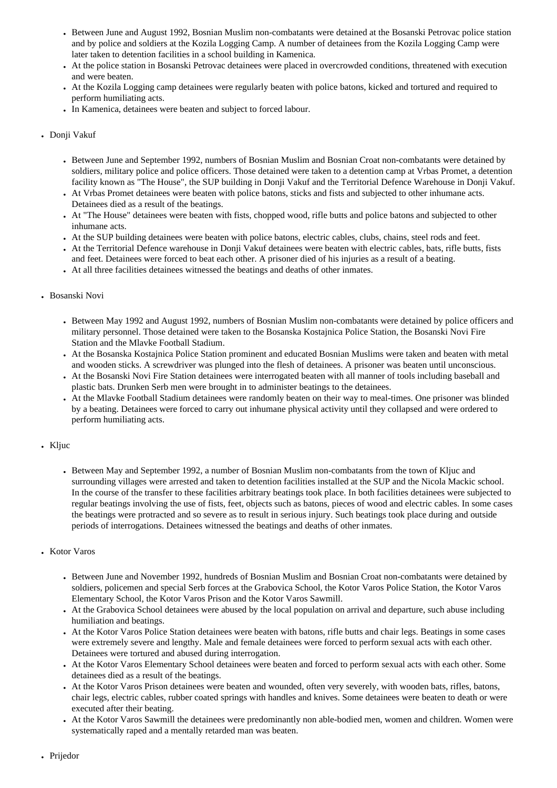- Between June and August 1992, Bosnian Muslim non-combatants were detained at the Bosanski Petrovac police station and by police and soldiers at the Kozila Logging Camp. A number of detainees from the Kozila Logging Camp were later taken to detention facilities in a school building in Kamenica.
- At the police station in Bosanski Petrovac detainees were placed in overcrowded conditions, threatened with execution and were beaten.
- At the Kozila Logging camp detainees were regularly beaten with police batons, kicked and tortured and required to perform humiliating acts.
- In Kamenica, detainees were beaten and subject to forced labour.

# • Donji Vakuf

- Between June and September 1992, numbers of Bosnian Muslim and Bosnian Croat non-combatants were detained by soldiers, military police and police officers. Those detained were taken to a detention camp at Vrbas Promet, a detention facility known as "The House", the SUP building in Donji Vakuf and the Territorial Defence Warehouse in Donji Vakuf.
- At Vrbas Promet detainees were beaten with police batons, sticks and fists and subjected to other inhumane acts. Detainees died as a result of the beatings.
- At "The House" detainees were beaten with fists, chopped wood, rifle butts and police batons and subjected to other inhumane acts.
- At the SUP building detainees were beaten with police batons, electric cables, clubs, chains, steel rods and feet.
- At the Territorial Defence warehouse in Donji Vakuf detainees were beaten with electric cables, bats, rifle butts, fists and feet. Detainees were forced to beat each other. A prisoner died of his injuries as a result of a beating.
- At all three facilities detainees witnessed the beatings and deaths of other inmates.

### ● Bosanski Novi

- Between May 1992 and August 1992, numbers of Bosnian Muslim non-combatants were detained by police officers and military personnel. Those detained were taken to the Bosanska Kostajnica Police Station, the Bosanski Novi Fire Station and the Mlavke Football Stadium.
- At the Bosanska Kostajnica Police Station prominent and educated Bosnian Muslims were taken and beaten with metal and wooden sticks. A screwdriver was plunged into the flesh of detainees. A prisoner was beaten until unconscious.
- At the Bosanski Novi Fire Station detainees were interrogated beaten with all manner of tools including baseball and plastic bats. Drunken Serb men were brought in to administer beatings to the detainees.
- At the Mlavke Football Stadium detainees were randomly beaten on their way to meal-times. One prisoner was blinded by a beating. Detainees were forced to carry out inhumane physical activity until they collapsed and were ordered to perform humiliating acts.

### • Kljuc

• Between May and September 1992, a number of Bosnian Muslim non-combatants from the town of Kljuc and surrounding villages were arrested and taken to detention facilities installed at the SUP and the Nicola Mackic school. In the course of the transfer to these facilities arbitrary beatings took place. In both facilities detainees were subjected to regular beatings involving the use of fists, feet, objects such as batons, pieces of wood and electric cables. In some cases the beatings were protracted and so severe as to result in serious injury. Such beatings took place during and outside periods of interrogations. Detainees witnessed the beatings and deaths of other inmates.

### • Kotor Varos

- Between June and November 1992, hundreds of Bosnian Muslim and Bosnian Croat non-combatants were detained by soldiers, policemen and special Serb forces at the Grabovica School, the Kotor Varos Police Station, the Kotor Varos Elementary School, the Kotor Varos Prison and the Kotor Varos Sawmill.
- At the Grabovica School detainees were abused by the local population on arrival and departure, such abuse including humiliation and beatings.
- At the Kotor Varos Police Station detainees were beaten with batons, rifle butts and chair legs. Beatings in some cases were extremely severe and lengthy. Male and female detainees were forced to perform sexual acts with each other. Detainees were tortured and abused during interrogation.
- At the Kotor Varos Elementary School detainees were beaten and forced to perform sexual acts with each other. Some detainees died as a result of the beatings.
- At the Kotor Varos Prison detainees were beaten and wounded, often very severely, with wooden bats, rifles, batons, chair legs, electric cables, rubber coated springs with handles and knives. Some detainees were beaten to death or were executed after their beating.
- At the Kotor Varos Sawmill the detainees were predominantly non able-bodied men, women and children. Women were systematically raped and a mentally retarded man was beaten.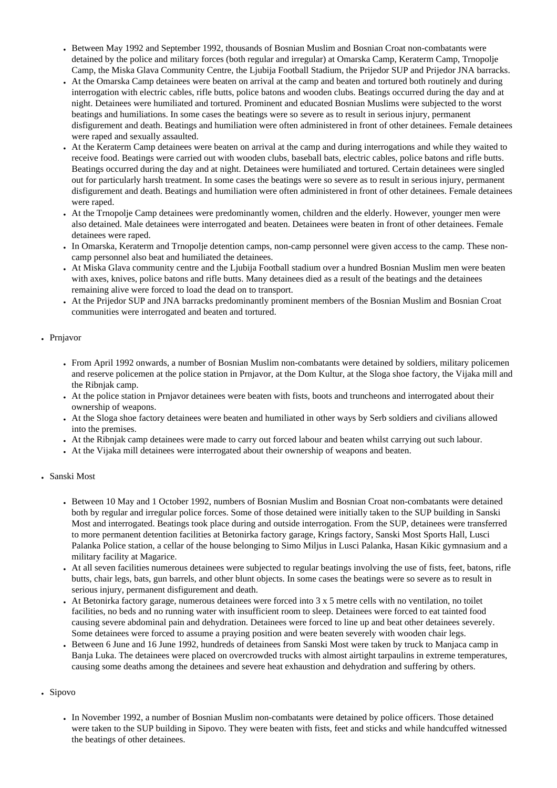- Between May 1992 and September 1992, thousands of Bosnian Muslim and Bosnian Croat non-combatants were detained by the police and military forces (both regular and irregular) at Omarska Camp, Keraterm Camp, Trnopolje Camp, the Miska Glava Community Centre, the Ljubija Football Stadium, the Prijedor SUP and Prijedor JNA barracks.
- At the Omarska Camp detainees were beaten on arrival at the camp and beaten and tortured both routinely and during interrogation with electric cables, rifle butts, police batons and wooden clubs. Beatings occurred during the day and at night. Detainees were humiliated and tortured. Prominent and educated Bosnian Muslims were subjected to the worst beatings and humiliations. In some cases the beatings were so severe as to result in serious injury, permanent disfigurement and death. Beatings and humiliation were often administered in front of other detainees. Female detainees were raped and sexually assaulted.
- At the Keraterm Camp detainees were beaten on arrival at the camp and during interrogations and while they waited to receive food. Beatings were carried out with wooden clubs, baseball bats, electric cables, police batons and rifle butts. Beatings occurred during the day and at night. Detainees were humiliated and tortured. Certain detainees were singled out for particularly harsh treatment. In some cases the beatings were so severe as to result in serious injury, permanent disfigurement and death. Beatings and humiliation were often administered in front of other detainees. Female detainees were raped.
- At the Trnopolje Camp detainees were predominantly women, children and the elderly. However, younger men were also detained. Male detainees were interrogated and beaten. Detainees were beaten in front of other detainees. Female detainees were raped.
- In Omarska, Keraterm and Trnopolje detention camps, non-camp personnel were given access to the camp. These noncamp personnel also beat and humiliated the detainees.
- At Miska Glava community centre and the Ljubija Football stadium over a hundred Bosnian Muslim men were beaten with axes, knives, police batons and rifle butts. Many detainees died as a result of the beatings and the detainees remaining alive were forced to load the dead on to transport.
- At the Prijedor SUP and JNA barracks predominantly prominent members of the Bosnian Muslim and Bosnian Croat communities were interrogated and beaten and tortured.

# • Prnjavor

- From April 1992 onwards, a number of Bosnian Muslim non-combatants were detained by soldiers, military policemen and reserve policemen at the police station in Prnjavor, at the Dom Kultur, at the Sloga shoe factory, the Vijaka mill and the Ribnjak camp.
- At the police station in Prnjavor detainees were beaten with fists, boots and truncheons and interrogated about their ownership of weapons.
- At the Sloga shoe factory detainees were beaten and humiliated in other ways by Serb soldiers and civilians allowed into the premises.
- At the Ribnjak camp detainees were made to carry out forced labour and beaten whilst carrying out such labour.
- At the Vijaka mill detainees were interrogated about their ownership of weapons and beaten.

### • Sanski Most

- Between 10 May and 1 October 1992, numbers of Bosnian Muslim and Bosnian Croat non-combatants were detained both by regular and irregular police forces. Some of those detained were initially taken to the SUP building in Sanski Most and interrogated. Beatings took place during and outside interrogation. From the SUP, detainees were transferred to more permanent detention facilities at Betonirka factory garage, Krings factory, Sanski Most Sports Hall, Lusci Palanka Police station, a cellar of the house belonging to Simo Miljus in Lusci Palanka, Hasan Kikic gymnasium and a military facility at Magarice.
- At all seven facilities numerous detainees were subjected to regular beatings involving the use of fists, feet, batons, rifle butts, chair legs, bats, gun barrels, and other blunt objects. In some cases the beatings were so severe as to result in serious injury, permanent disfigurement and death.
- At Betonirka factory garage, numerous detainees were forced into  $3 \times 5$  metre cells with no ventilation, no toilet facilities, no beds and no running water with insufficient room to sleep. Detainees were forced to eat tainted food causing severe abdominal pain and dehydration. Detainees were forced to line up and beat other detainees severely. Some detainees were forced to assume a praying position and were beaten severely with wooden chair legs.
- Between 6 June and 16 June 1992, hundreds of detainees from Sanski Most were taken by truck to Manjaca camp in Banja Luka. The detainees were placed on overcrowded trucks with almost airtight tarpaulins in extreme temperatures, causing some deaths among the detainees and severe heat exhaustion and dehydration and suffering by others.

# • Sipovo

• In November 1992, a number of Bosnian Muslim non-combatants were detained by police officers. Those detained were taken to the SUP building in Sipovo. They were beaten with fists, feet and sticks and while handcuffed witnessed the beatings of other detainees.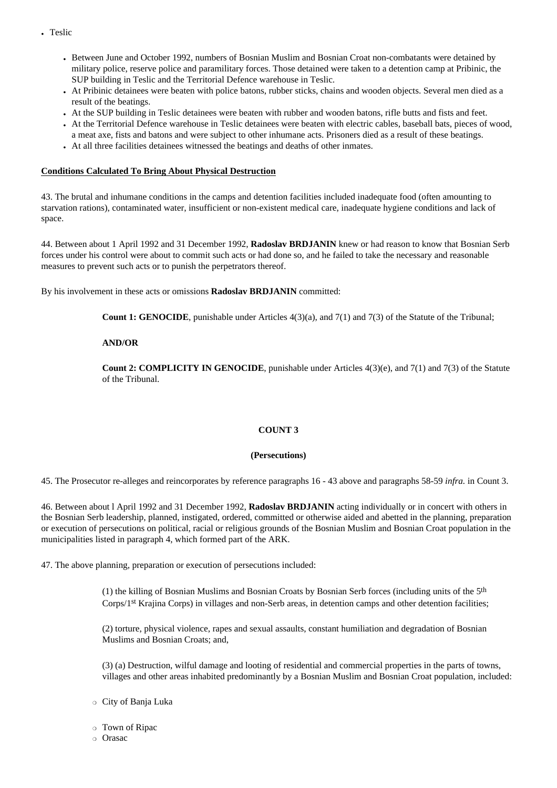- Teslic
	- Between June and October 1992, numbers of Bosnian Muslim and Bosnian Croat non-combatants were detained by military police, reserve police and paramilitary forces. Those detained were taken to a detention camp at Pribinic, the SUP building in Teslic and the Territorial Defence warehouse in Teslic.
	- At Pribinic detainees were beaten with police batons, rubber sticks, chains and wooden objects. Several men died as a result of the beatings.
	- At the SUP building in Teslic detainees were beaten with rubber and wooden batons, rifle butts and fists and feet.
	- At the Territorial Defence warehouse in Teslic detainees were beaten with electric cables, baseball bats, pieces of wood, a meat axe, fists and batons and were subject to other inhumane acts. Prisoners died as a result of these beatings.
	- At all three facilities detainees witnessed the beatings and deaths of other inmates.

### **Conditions Calculated To Bring About Physical Destruction**

43. The brutal and inhumane conditions in the camps and detention facilities included inadequate food (often amounting to starvation rations), contaminated water, insufficient or non-existent medical care, inadequate hygiene conditions and lack of space.

44. Between about 1 April 1992 and 31 December 1992, **Radoslav BRDJANIN** knew or had reason to know that Bosnian Serb forces under his control were about to commit such acts or had done so, and he failed to take the necessary and reasonable measures to prevent such acts or to punish the perpetrators thereof.

By his involvement in these acts or omissions **Radoslav BRDJANIN** committed:

**Count 1: GENOCIDE**, punishable under Articles 4(3)(a), and 7(1) and 7(3) of the Statute of the Tribunal;

#### **AND/OR**

**Count 2: COMPLICITY IN GENOCIDE**, punishable under Articles 4(3)(e), and 7(1) and 7(3) of the Statute of the Tribunal.

### **COUNT 3**

#### **(Persecutions)**

45. The Prosecutor re-alleges and reincorporates by reference paragraphs 16 - 43 above and paragraphs 58-59 *infra.* in Count 3.

46. Between about l April 1992 and 31 December 1992, **Radoslav BRDJANIN** acting individually or in concert with others in the Bosnian Serb leadership, planned, instigated, ordered, committed or otherwise aided and abetted in the planning, preparation or execution of persecutions on political, racial or religious grounds of the Bosnian Muslim and Bosnian Croat population in the municipalities listed in paragraph 4, which formed part of the ARK.

47. The above planning, preparation or execution of persecutions included:

(1) the killing of Bosnian Muslims and Bosnian Croats by Bosnian Serb forces (including units of the 5th Corps/1st Krajina Corps) in villages and non-Serb areas, in detention camps and other detention facilities;

(2) torture, physical violence, rapes and sexual assaults, constant humiliation and degradation of Bosnian Muslims and Bosnian Croats; and,

(3) (a) Destruction, wilful damage and looting of residential and commercial properties in the parts of towns, villages and other areas inhabited predominantly by a Bosnian Muslim and Bosnian Croat population, included:

❍ City of Banja Luka

❍ Town of Ripac

#### ❍ Orasac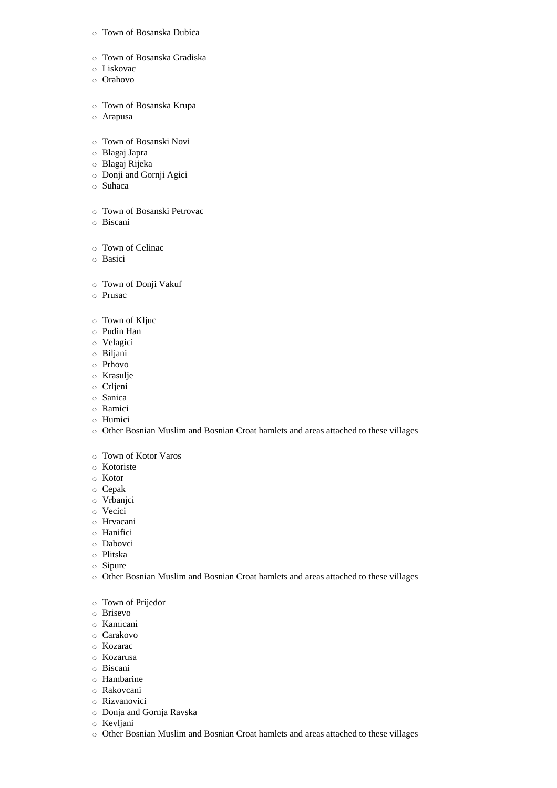### ❍ Town of Bosanska Dubica

- ❍ Town of Bosanska Gradiska
- ❍ Liskovac
- ❍ Orahovo
- ❍ Town of Bosanska Krupa
- ❍ Arapusa
- ❍ Town of Bosanski Novi
- ❍ Blagaj Japra
- ❍ Blagaj Rijeka
- ❍ Donji and Gornji Agici
- ❍ Suhaca
- ❍ Town of Bosanski Petrovac
- ❍ Biscani
- ❍ Town of Celinac
- ❍ Basici
- ❍ Town of Donji Vakuf
- ❍ Prusac
- ❍ Town of Kljuc
- ❍ Pudin Han
- ❍ Velagici
- ❍ Biljani
- ❍ Prhovo
- ❍ Krasulje
- ❍ Crljeni
- ❍ Sanica
- ❍ Ramici
- ❍ Humici
- ❍ Other Bosnian Muslim and Bosnian Croat hamlets and areas attached to these villages
- ❍ Town of Kotor Varos
- ❍ Kotoriste
- ❍ Kotor
- ❍ Cepak
- ❍ Vrbanjci
- ❍ Vecici
- ❍ Hrvacani
- ❍ Hanifici
- ❍ Dabovci
- ❍ Plitska
- ❍ Sipure
- ❍ Other Bosnian Muslim and Bosnian Croat hamlets and areas attached to these villages
- ❍ Town of Prijedor
- ❍ Brisevo
- ❍ Kamicani
- ❍ Carakovo
- ❍ Kozarac
- ❍ Kozarusa
- ❍ Biscani
- ❍ Hambarine
- ❍ Rakovcani
- ❍ Rizvanovici
- ❍ Donja and Gornja Ravska
- ❍ Kevljani
- ❍ Other Bosnian Muslim and Bosnian Croat hamlets and areas attached to these villages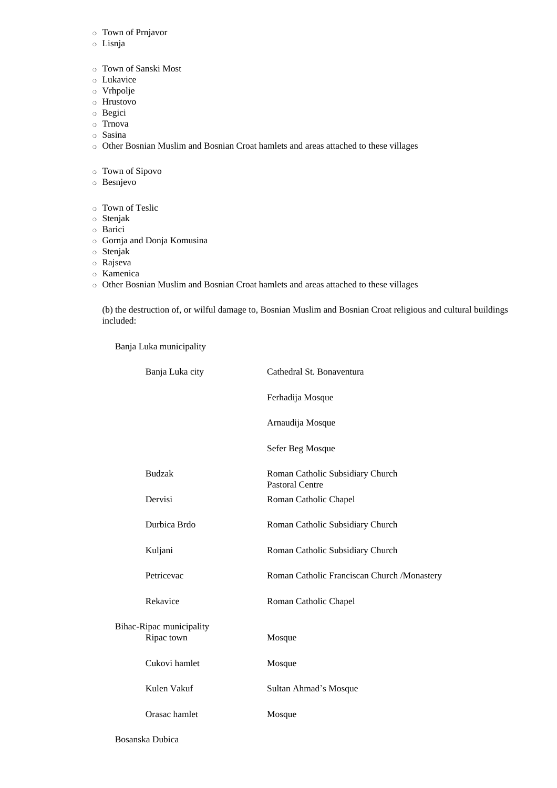- ❍ Town of Prnjavor
- ❍ Lisnja
- ❍ Town of Sanski Most
- ❍ Lukavice
- ❍ Vrhpolje
- ❍ Hrustovo
- ❍ Begici
- ❍ Trnova
- ❍ Sasina
- ❍ Other Bosnian Muslim and Bosnian Croat hamlets and areas attached to these villages

❍ Town of Sipovo

- ❍ Besnjevo
- ❍ Town of Teslic
- ❍ Stenjak
- ❍ Barici
- ❍ Gornja and Donja Komusina
- ❍ Stenjak
- ❍ Rajseva
- ❍ Kamenica

❍ Other Bosnian Muslim and Bosnian Croat hamlets and areas attached to these villages

(b) the destruction of, or wilful damage to, Bosnian Muslim and Bosnian Croat religious and cultural buildings included:

Banja Luka municipality

|                          | Banja Luka city | Cathedral St. Bonaventura                                  |
|--------------------------|-----------------|------------------------------------------------------------|
|                          |                 | Ferhadija Mosque                                           |
|                          |                 | Arnaudija Mosque                                           |
|                          |                 | Sefer Beg Mosque                                           |
|                          | <b>Budzak</b>   | Roman Catholic Subsidiary Church<br><b>Pastoral Centre</b> |
|                          | Dervisi         | Roman Catholic Chapel                                      |
|                          | Durbica Brdo    | Roman Catholic Subsidiary Church                           |
|                          | Kuljani         | Roman Catholic Subsidiary Church                           |
|                          | Petricevac      | Roman Catholic Franciscan Church /Monastery                |
|                          | Rekavice        | Roman Catholic Chapel                                      |
| Bihac-Ripac municipality |                 |                                                            |
|                          | Ripac town      | Mosque                                                     |
|                          | Cukovi hamlet   | Mosque                                                     |
|                          | Kulen Vakuf     | Sultan Ahmad's Mosque                                      |
|                          | Orasac hamlet   | Mosque                                                     |
|                          |                 |                                                            |

Bosanska Dubica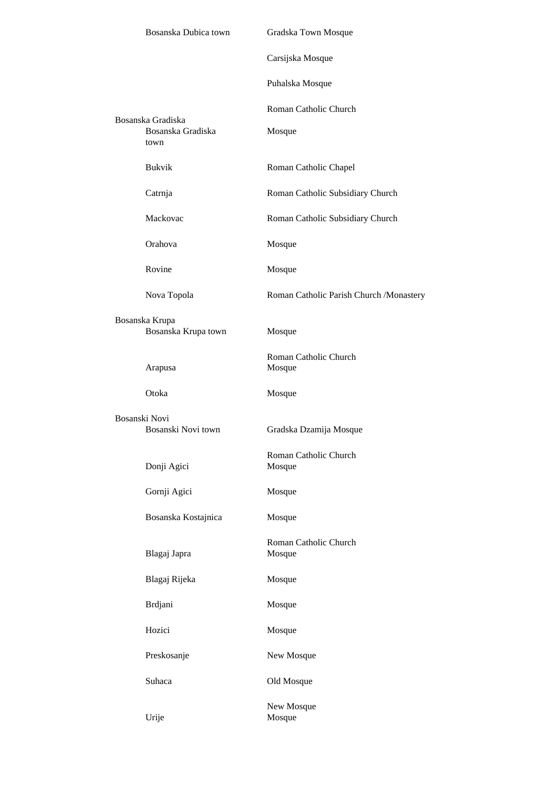|                                       | Bosanska Dubica town                           | Gradska Town Mosque                      |
|---------------------------------------|------------------------------------------------|------------------------------------------|
|                                       |                                                | Carsijska Mosque                         |
|                                       |                                                | Puhalska Mosque                          |
|                                       |                                                | Roman Catholic Church                    |
|                                       | Bosanska Gradiska<br>Bosanska Gradiska<br>town | Mosque                                   |
|                                       | <b>Bukvik</b>                                  | Roman Catholic Chapel                    |
|                                       | Catrnja                                        | Roman Catholic Subsidiary Church         |
|                                       | Mackovac                                       | Roman Catholic Subsidiary Church         |
|                                       | Orahova                                        | Mosque                                   |
|                                       | Rovine                                         | Mosque                                   |
|                                       | Nova Topola                                    | Roman Catholic Parish Church / Monastery |
| Bosanska Krupa<br>Bosanska Krupa town |                                                | Mosque                                   |
|                                       | Arapusa                                        | Roman Catholic Church<br>Mosque          |
|                                       | Otoka                                          | Mosque                                   |
|                                       | Bosanski Novi<br>Bosanski Novi town            | Gradska Dzamija Mosque                   |
|                                       | Donji Agici                                    | Roman Catholic Church<br>Mosque          |
|                                       | Gornji Agici                                   | Mosque                                   |
|                                       | Bosanska Kostajnica                            | Mosque                                   |
|                                       | Blagaj Japra                                   | Roman Catholic Church<br>Mosque          |
|                                       | Blagaj Rijeka                                  | Mosque                                   |
|                                       | Brdjani                                        | Mosque                                   |
|                                       | Hozici                                         | Mosque                                   |
|                                       | Preskosanje                                    | New Mosque                               |
|                                       | Suhaca                                         | Old Mosque                               |
|                                       | Urije                                          | New Mosque<br>Mosque                     |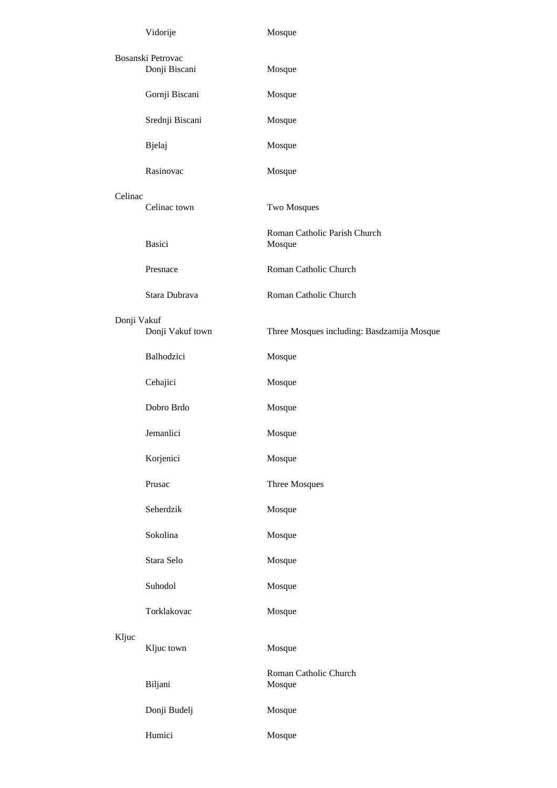|             | Vidorije          | Mosque                                     |
|-------------|-------------------|--------------------------------------------|
|             | Bosanski Petrovac |                                            |
|             | Donji Biscani     | Mosque                                     |
|             | Gornji Biscani    | Mosque                                     |
|             | Srednji Biscani   | Mosque                                     |
|             | Bjelaj            | Mosque                                     |
|             | Rasinovac         | Mosque                                     |
| Celinac     |                   |                                            |
|             | Celinac town      | Two Mosques                                |
|             | <b>Basici</b>     | Roman Catholic Parish Church<br>Mosque     |
|             | Presnace          | Roman Catholic Church                      |
|             | Stara Dubrava     | Roman Catholic Church                      |
| Donji Vakuf |                   |                                            |
|             | Donji Vakuf town  | Three Mosques including: Basdzamija Mosque |
|             | Balhodzici        | Mosque                                     |
|             | Cehajici          | Mosque                                     |
|             | Dobro Brdo        | Mosque                                     |
|             | Jemanlici         | Mosque                                     |
|             | Korjenici         | Mosque                                     |
|             | Prusac            | Three Mosques                              |
|             | Seherdzik         | Mosque                                     |
|             | Sokolina          | Mosque                                     |
|             | Stara Selo        | Mosque                                     |
|             | Suhodol           | Mosque                                     |
|             | Torklakovac       | Mosque                                     |
| Kljuc       | Kljuc town        | Mosque                                     |
|             | Biljani           | Roman Catholic Church<br>Mosque            |
|             | Donji Budelj      | Mosque                                     |
|             | Humici            | Mosque                                     |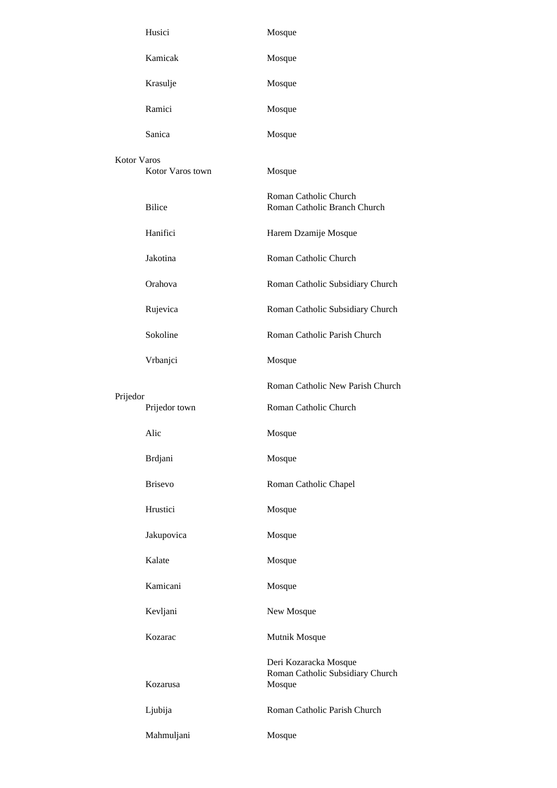|                    | Husici           | Mosque                                                              |
|--------------------|------------------|---------------------------------------------------------------------|
|                    | Kamicak          | Mosque                                                              |
|                    | Krasulje         | Mosque                                                              |
|                    | Ramici           | Mosque                                                              |
|                    | Sanica           | Mosque                                                              |
| <b>Kotor Varos</b> | Kotor Varos town | Mosque                                                              |
|                    | <b>Bilice</b>    | Roman Catholic Church<br>Roman Catholic Branch Church               |
|                    | Hanifici         | Harem Dzamije Mosque                                                |
|                    | Jakotina         | Roman Catholic Church                                               |
|                    | Orahova          | Roman Catholic Subsidiary Church                                    |
|                    | Rujevica         | Roman Catholic Subsidiary Church                                    |
|                    | Sokoline         | Roman Catholic Parish Church                                        |
|                    | Vrbanjci         | Mosque                                                              |
|                    |                  | Roman Catholic New Parish Church                                    |
| Prijedor           | Prijedor town    | Roman Catholic Church                                               |
|                    | Alic             | Mosque                                                              |
|                    | Brdjani          | Mosque                                                              |
|                    | <b>Brisevo</b>   | Roman Catholic Chapel                                               |
|                    | Hrustici         | Mosque                                                              |
|                    | Jakupovica       | Mosque                                                              |
|                    | Kalate           | Mosque                                                              |
|                    | Kamicani         | Mosque                                                              |
|                    | Kevljani         | New Mosque                                                          |
|                    | Kozarac          | Mutnik Mosque                                                       |
|                    | Kozarusa         | Deri Kozaracka Mosque<br>Roman Catholic Subsidiary Church<br>Mosque |
|                    | Ljubija          | Roman Catholic Parish Church                                        |
|                    | Mahmuljani       | Mosque                                                              |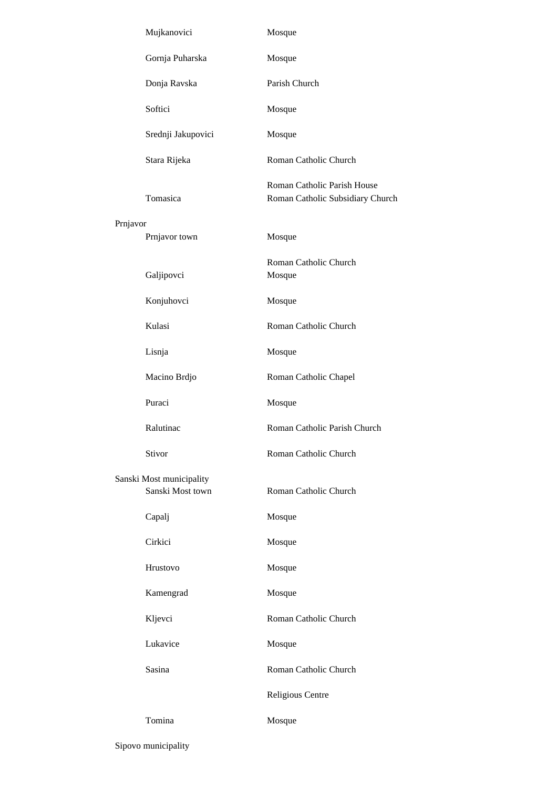|          | Mujkanovici                                  | Mosque                                                          |
|----------|----------------------------------------------|-----------------------------------------------------------------|
|          | Gornja Puharska                              | Mosque                                                          |
|          | Donja Ravska                                 | Parish Church                                                   |
|          | Softici                                      | Mosque                                                          |
|          | Srednji Jakupovici                           | Mosque                                                          |
|          | Stara Rijeka                                 | Roman Catholic Church                                           |
|          | Tomasica                                     | Roman Catholic Parish House<br>Roman Catholic Subsidiary Church |
| Prnjavor | Prnjavor town                                | Mosque                                                          |
|          | Galjipovci                                   | Roman Catholic Church<br>Mosque                                 |
|          | Konjuhovci                                   | Mosque                                                          |
|          | Kulasi                                       | Roman Catholic Church                                           |
|          | Lisnja                                       | Mosque                                                          |
|          | Macino Brdjo                                 | Roman Catholic Chapel                                           |
|          | Puraci                                       | Mosque                                                          |
|          | Ralutinac                                    | Roman Catholic Parish Church                                    |
|          | Stivor                                       | Roman Catholic Church                                           |
|          | Sanski Most municipality<br>Sanski Most town | Roman Catholic Church                                           |
|          | Capalj                                       | Mosque                                                          |
|          | Cirkici                                      | Mosque                                                          |
|          | Hrustovo                                     | Mosque                                                          |
|          | Kamengrad                                    | Mosque                                                          |
|          | Kljevci                                      | Roman Catholic Church                                           |
|          | Lukavice                                     | Mosque                                                          |
|          | Sasina                                       | Roman Catholic Church                                           |
|          |                                              | Religious Centre                                                |
|          | Tomina                                       | Mosque                                                          |

Sipovo municipality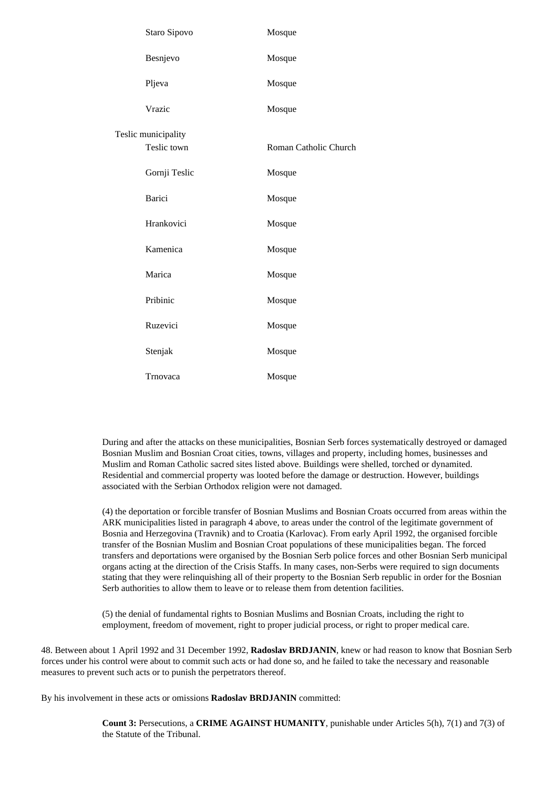| Staro Sipovo        | Mosque                |
|---------------------|-----------------------|
| Besnjevo            | Mosque                |
| Pljeva              | Mosque                |
| Vrazic              | Mosque                |
| Teslic municipality |                       |
| Teslic town         | Roman Catholic Church |
| Gornji Teslic       | Mosque                |
| <b>Barici</b>       | Mosque                |
| Hrankovici          | Mosque                |
| Kamenica            | Mosque                |
| Marica              | Mosque                |
| Pribinic            | Mosque                |
| Ruzevici            | Mosque                |
| Stenjak             | Mosque                |
| Trnovaca            | Mosque                |

During and after the attacks on these municipalities, Bosnian Serb forces systematically destroyed or damaged Bosnian Muslim and Bosnian Croat cities, towns, villages and property, including homes, businesses and Muslim and Roman Catholic sacred sites listed above. Buildings were shelled, torched or dynamited. Residential and commercial property was looted before the damage or destruction. However, buildings associated with the Serbian Orthodox religion were not damaged.

(4) the deportation or forcible transfer of Bosnian Muslims and Bosnian Croats occurred from areas within the ARK municipalities listed in paragraph 4 above, to areas under the control of the legitimate government of Bosnia and Herzegovina (Travnik) and to Croatia (Karlovac). From early April 1992, the organised forcible transfer of the Bosnian Muslim and Bosnian Croat populations of these municipalities began. The forced transfers and deportations were organised by the Bosnian Serb police forces and other Bosnian Serb municipal organs acting at the direction of the Crisis Staffs. In many cases, non-Serbs were required to sign documents stating that they were relinquishing all of their property to the Bosnian Serb republic in order for the Bosnian Serb authorities to allow them to leave or to release them from detention facilities.

(5) the denial of fundamental rights to Bosnian Muslims and Bosnian Croats, including the right to employment, freedom of movement, right to proper judicial process, or right to proper medical care.

48. Between about 1 April 1992 and 31 December 1992, **Radoslav BRDJANIN**, knew or had reason to know that Bosnian Serb forces under his control were about to commit such acts or had done so, and he failed to take the necessary and reasonable measures to prevent such acts or to punish the perpetrators thereof.

By his involvement in these acts or omissions **Radoslav BRDJANIN** committed:

**Count 3:** Persecutions, a **CRIME AGAINST HUMANITY**, punishable under Articles 5(h), 7(1) and 7(3) of the Statute of the Tribunal.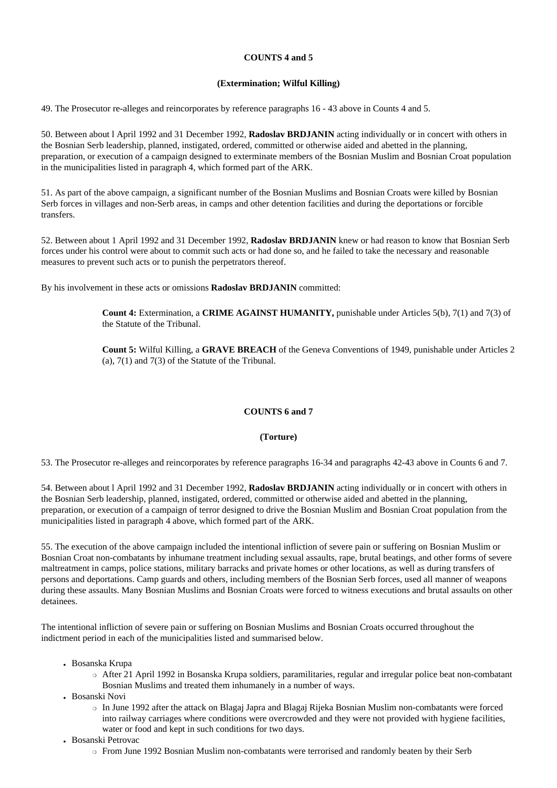# **COUNTS 4 and 5**

# **(Extermination; Wilful Killing)**

49. The Prosecutor re-alleges and reincorporates by reference paragraphs 16 - 43 above in Counts 4 and 5.

50. Between about l April 1992 and 31 December 1992, **Radoslav BRDJANIN** acting individually or in concert with others in the Bosnian Serb leadership, planned, instigated, ordered, committed or otherwise aided and abetted in the planning, preparation, or execution of a campaign designed to exterminate members of the Bosnian Muslim and Bosnian Croat population in the municipalities listed in paragraph 4, which formed part of the ARK.

51. As part of the above campaign, a significant number of the Bosnian Muslims and Bosnian Croats were killed by Bosnian Serb forces in villages and non-Serb areas, in camps and other detention facilities and during the deportations or forcible transfers.

52. Between about 1 April 1992 and 31 December 1992, **Radoslav BRDJANIN** knew or had reason to know that Bosnian Serb forces under his control were about to commit such acts or had done so, and he failed to take the necessary and reasonable measures to prevent such acts or to punish the perpetrators thereof.

By his involvement in these acts or omissions **Radoslav BRDJANIN** committed:

**Count 4:** Extermination, a **CRIME AGAINST HUMANITY,** punishable under Articles 5(b), 7(1) and 7(3) of the Statute of the Tribunal.

**Count 5:** Wilful Killing, a **GRAVE BREACH** of the Geneva Conventions of 1949, punishable under Articles 2 (a),  $7(1)$  and  $7(3)$  of the Statute of the Tribunal.

# **COUNTS 6 and 7**

## **(Torture)**

53. The Prosecutor re-alleges and reincorporates by reference paragraphs 16-34 and paragraphs 42-43 above in Counts 6 and 7.

54. Between about l April 1992 and 31 December 1992, **Radoslav BRDJANIN** acting individually or in concert with others in the Bosnian Serb leadership, planned, instigated, ordered, committed or otherwise aided and abetted in the planning, preparation, or execution of a campaign of terror designed to drive the Bosnian Muslim and Bosnian Croat population from the municipalities listed in paragraph 4 above, which formed part of the ARK.

55. The execution of the above campaign included the intentional infliction of severe pain or suffering on Bosnian Muslim or Bosnian Croat non-combatants by inhumane treatment including sexual assaults, rape, brutal beatings, and other forms of severe maltreatment in camps, police stations, military barracks and private homes or other locations, as well as during transfers of persons and deportations. Camp guards and others, including members of the Bosnian Serb forces, used all manner of weapons during these assaults. Many Bosnian Muslims and Bosnian Croats were forced to witness executions and brutal assaults on other detainees.

The intentional infliction of severe pain or suffering on Bosnian Muslims and Bosnian Croats occurred throughout the indictment period in each of the municipalities listed and summarised below.

- Bosanska Krupa
	- ❍ After 21 April 1992 in Bosanska Krupa soldiers, paramilitaries, regular and irregular police beat non-combatant Bosnian Muslims and treated them inhumanely in a number of ways.
- Bosanski Novi
	- ❍ In June 1992 after the attack on Blagaj Japra and Blagaj Rijeka Bosnian Muslim non-combatants were forced into railway carriages where conditions were overcrowded and they were not provided with hygiene facilities, water or food and kept in such conditions for two days.
- Bosanski Petrovac
	- ❍ From June 1992 Bosnian Muslim non-combatants were terrorised and randomly beaten by their Serb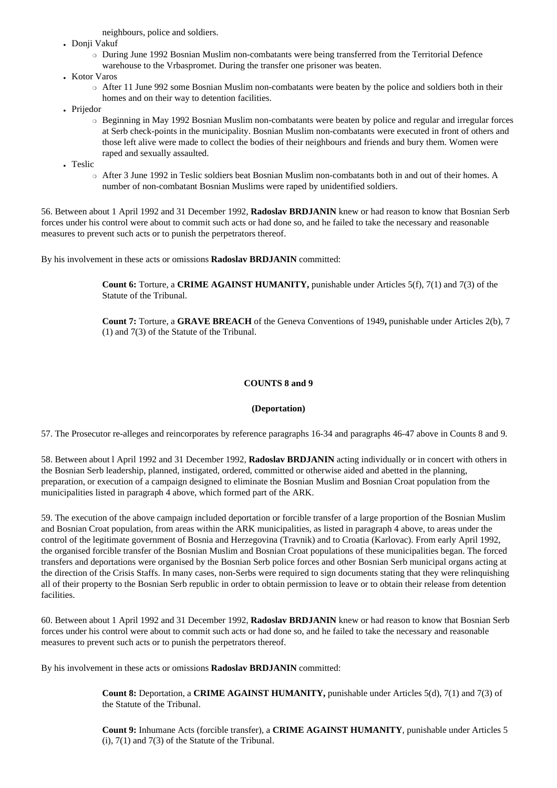neighbours, police and soldiers.

- Donji Vakuf
	- ❍ During June 1992 Bosnian Muslim non-combatants were being transferred from the Territorial Defence warehouse to the Vrbaspromet. During the transfer one prisoner was beaten.
- Kotor Varos
	- o After 11 June 992 some Bosnian Muslim non-combatants were beaten by the police and soldiers both in their homes and on their way to detention facilities.
- Prijedor
	- ❍ Beginning in May 1992 Bosnian Muslim non-combatants were beaten by police and regular and irregular forces at Serb check-points in the municipality. Bosnian Muslim non-combatants were executed in front of others and those left alive were made to collect the bodies of their neighbours and friends and bury them. Women were raped and sexually assaulted.
- . Teslic
	- ❍ After 3 June 1992 in Teslic soldiers beat Bosnian Muslim non-combatants both in and out of their homes. A number of non-combatant Bosnian Muslims were raped by unidentified soldiers.

56. Between about 1 April 1992 and 31 December 1992, **Radoslav BRDJANIN** knew or had reason to know that Bosnian Serb forces under his control were about to commit such acts or had done so, and he failed to take the necessary and reasonable measures to prevent such acts or to punish the perpetrators thereof.

By his involvement in these acts or omissions **Radoslav BRDJANIN** committed:

**Count 6:** Torture, a **CRIME AGAINST HUMANITY,** punishable under Articles 5(f), 7(1) and 7(3) of the Statute of the Tribunal.

**Count 7:** Torture, a **GRAVE BREACH** of the Geneva Conventions of 1949**,** punishable under Articles 2(b), 7 (1) and 7(3) of the Statute of the Tribunal.

### **COUNTS 8 and 9**

### **(Deportation)**

57. The Prosecutor re-alleges and reincorporates by reference paragraphs 16-34 and paragraphs 46-47 above in Counts 8 and 9.

58. Between about l April 1992 and 31 December 1992, **Radoslav BRDJANIN** acting individually or in concert with others in the Bosnian Serb leadership, planned, instigated, ordered, committed or otherwise aided and abetted in the planning, preparation, or execution of a campaign designed to eliminate the Bosnian Muslim and Bosnian Croat population from the municipalities listed in paragraph 4 above, which formed part of the ARK.

59. The execution of the above campaign included deportation or forcible transfer of a large proportion of the Bosnian Muslim and Bosnian Croat population, from areas within the ARK municipalities, as listed in paragraph 4 above, to areas under the control of the legitimate government of Bosnia and Herzegovina (Travnik) and to Croatia (Karlovac). From early April 1992, the organised forcible transfer of the Bosnian Muslim and Bosnian Croat populations of these municipalities began. The forced transfers and deportations were organised by the Bosnian Serb police forces and other Bosnian Serb municipal organs acting at the direction of the Crisis Staffs. In many cases, non-Serbs were required to sign documents stating that they were relinquishing all of their property to the Bosnian Serb republic in order to obtain permission to leave or to obtain their release from detention facilities.

60. Between about 1 April 1992 and 31 December 1992, **Radoslav BRDJANIN** knew or had reason to know that Bosnian Serb forces under his control were about to commit such acts or had done so, and he failed to take the necessary and reasonable measures to prevent such acts or to punish the perpetrators thereof.

By his involvement in these acts or omissions **Radoslav BRDJANIN** committed:

**Count 8:** Deportation, a **CRIME AGAINST HUMANITY,** punishable under Articles 5(d), 7(1) and 7(3) of the Statute of the Tribunal.

**Count 9:** Inhumane Acts (forcible transfer), a **CRIME AGAINST HUMANITY**, punishable under Articles 5  $(i)$ ,  $7(1)$  and  $7(3)$  of the Statute of the Tribunal.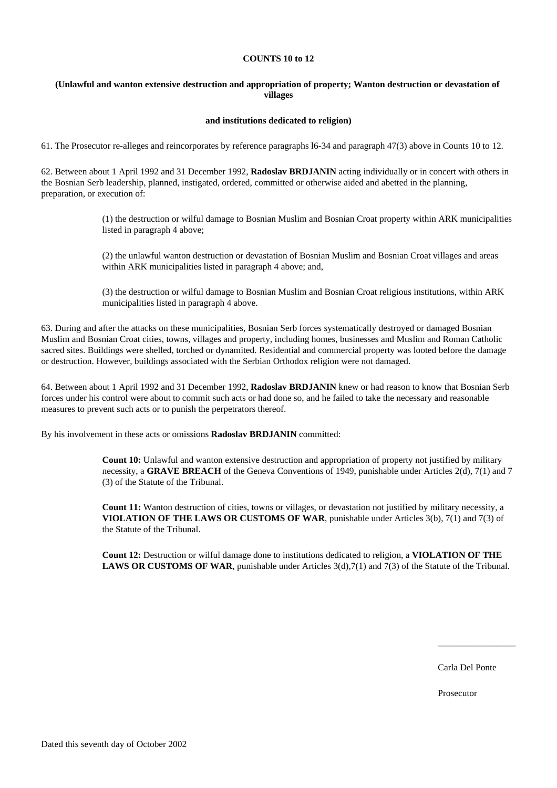#### **COUNTS 10 to 12**

# **(Unlawful and wanton extensive destruction and appropriation of property; Wanton destruction or devastation of villages**

#### **and institutions dedicated to religion)**

61. The Prosecutor re-alleges and reincorporates by reference paragraphs l6-34 and paragraph 47(3) above in Counts 10 to 12.

62. Between about 1 April 1992 and 31 December 1992, **Radoslav BRDJANIN** acting individually or in concert with others in the Bosnian Serb leadership, planned, instigated, ordered, committed or otherwise aided and abetted in the planning, preparation, or execution of:

> (1) the destruction or wilful damage to Bosnian Muslim and Bosnian Croat property within ARK municipalities listed in paragraph 4 above;

(2) the unlawful wanton destruction or devastation of Bosnian Muslim and Bosnian Croat villages and areas within ARK municipalities listed in paragraph 4 above; and,

(3) the destruction or wilful damage to Bosnian Muslim and Bosnian Croat religious institutions, within ARK municipalities listed in paragraph 4 above.

63. During and after the attacks on these municipalities, Bosnian Serb forces systematically destroyed or damaged Bosnian Muslim and Bosnian Croat cities, towns, villages and property, including homes, businesses and Muslim and Roman Catholic sacred sites. Buildings were shelled, torched or dynamited. Residential and commercial property was looted before the damage or destruction. However, buildings associated with the Serbian Orthodox religion were not damaged.

64. Between about 1 April 1992 and 31 December 1992, **Radoslav BRDJANIN** knew or had reason to know that Bosnian Serb forces under his control were about to commit such acts or had done so, and he failed to take the necessary and reasonable measures to prevent such acts or to punish the perpetrators thereof.

By his involvement in these acts or omissions **Radoslav BRDJANIN** committed:

**Count 10:** Unlawful and wanton extensive destruction and appropriation of property not justified by military necessity, a **GRAVE BREACH** of the Geneva Conventions of 1949, punishable under Articles 2(d), 7(1) and 7 (3) of the Statute of the Tribunal.

**Count 11:** Wanton destruction of cities, towns or villages, or devastation not justified by military necessity, a **VIOLATION OF THE LAWS OR CUSTOMS OF WAR**, punishable under Articles 3(b), 7(1) and 7(3) of the Statute of the Tribunal.

**Count 12:** Destruction or wilful damage done to institutions dedicated to religion, a **VIOLATION OF THE LAWS OR CUSTOMS OF WAR**, punishable under Articles 3(d),7(1) and 7(3) of the Statute of the Tribunal.

Carla Del Ponte

\_\_\_\_\_\_\_\_\_\_\_\_\_\_\_\_\_

Prosecutor